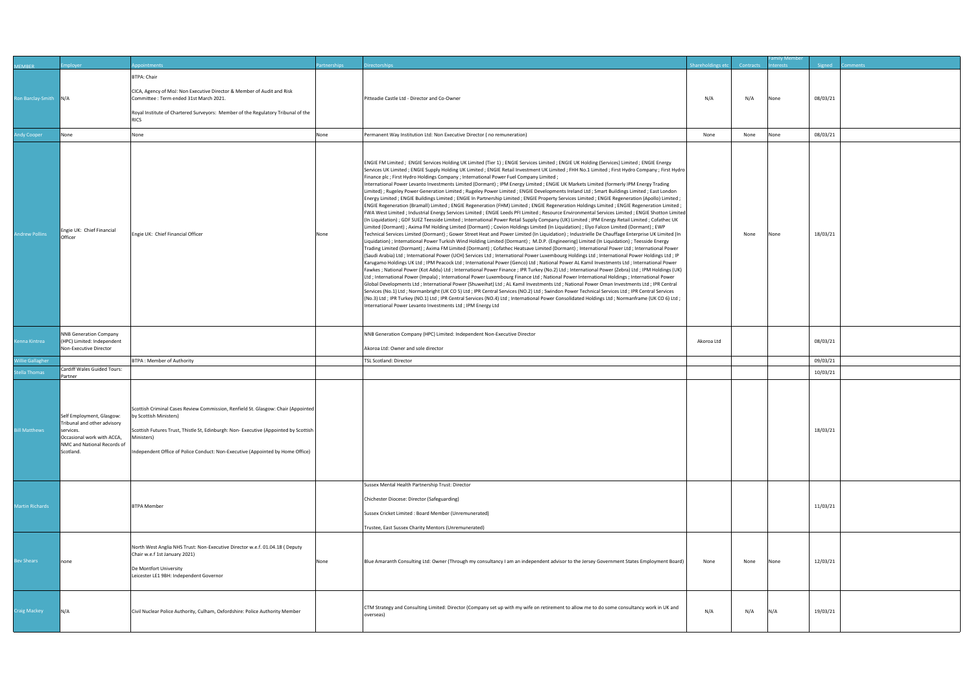| <b>IEMBER</b>                  | mployer                                                                                                                                         | ppointments                                                                                                                                                                                                                                                                                         | artnerships | irectorships                                                                                                                                                                                                                                                                                                                                                                                                                                                                                                                                                                                                                                                                                                                                                                                                                                                                                                                                                                                                                                                                                                                                                                                                                                                                                                                                                                                                                                                                                                                                                                                                                                                                                                                                                                                                                                                                                                                                                                                                                                                                                                                                                                                                                                                                                                                                                                                                                                                                                                                                                                                                                                                                                                                                                                                                                                                                                                                                                                                             | Shareholdings etc | Contracts | terests | Signed               | omments |
|--------------------------------|-------------------------------------------------------------------------------------------------------------------------------------------------|-----------------------------------------------------------------------------------------------------------------------------------------------------------------------------------------------------------------------------------------------------------------------------------------------------|-------------|----------------------------------------------------------------------------------------------------------------------------------------------------------------------------------------------------------------------------------------------------------------------------------------------------------------------------------------------------------------------------------------------------------------------------------------------------------------------------------------------------------------------------------------------------------------------------------------------------------------------------------------------------------------------------------------------------------------------------------------------------------------------------------------------------------------------------------------------------------------------------------------------------------------------------------------------------------------------------------------------------------------------------------------------------------------------------------------------------------------------------------------------------------------------------------------------------------------------------------------------------------------------------------------------------------------------------------------------------------------------------------------------------------------------------------------------------------------------------------------------------------------------------------------------------------------------------------------------------------------------------------------------------------------------------------------------------------------------------------------------------------------------------------------------------------------------------------------------------------------------------------------------------------------------------------------------------------------------------------------------------------------------------------------------------------------------------------------------------------------------------------------------------------------------------------------------------------------------------------------------------------------------------------------------------------------------------------------------------------------------------------------------------------------------------------------------------------------------------------------------------------------------------------------------------------------------------------------------------------------------------------------------------------------------------------------------------------------------------------------------------------------------------------------------------------------------------------------------------------------------------------------------------------------------------------------------------------------------------------------------------------|-------------------|-----------|---------|----------------------|---------|
| on Barclay-Smith N/A           |                                                                                                                                                 | <b>BTPA: Chair</b><br>CICA, Agency of MoJ: Non Executive Director & Member of Audit and Risk<br>Committee : Term ended 31st March 2021.<br>Royal Institute of Chartered Surveyors: Member of the Regulatory Tribunal of the<br><b>RICS</b>                                                          |             | Pitteadie Castle Ltd - Director and Co-Owner                                                                                                                                                                                                                                                                                                                                                                                                                                                                                                                                                                                                                                                                                                                                                                                                                                                                                                                                                                                                                                                                                                                                                                                                                                                                                                                                                                                                                                                                                                                                                                                                                                                                                                                                                                                                                                                                                                                                                                                                                                                                                                                                                                                                                                                                                                                                                                                                                                                                                                                                                                                                                                                                                                                                                                                                                                                                                                                                                             | N/A               | N/A       | None    | 08/03/21             |         |
| dy Cooper                      | None                                                                                                                                            | None                                                                                                                                                                                                                                                                                                | None        | Permanent Way Institution Ltd: Non Executive Director (no remuneration)                                                                                                                                                                                                                                                                                                                                                                                                                                                                                                                                                                                                                                                                                                                                                                                                                                                                                                                                                                                                                                                                                                                                                                                                                                                                                                                                                                                                                                                                                                                                                                                                                                                                                                                                                                                                                                                                                                                                                                                                                                                                                                                                                                                                                                                                                                                                                                                                                                                                                                                                                                                                                                                                                                                                                                                                                                                                                                                                  | None              | None      | None    | 08/03/21             |         |
|                                |                                                                                                                                                 |                                                                                                                                                                                                                                                                                                     |             |                                                                                                                                                                                                                                                                                                                                                                                                                                                                                                                                                                                                                                                                                                                                                                                                                                                                                                                                                                                                                                                                                                                                                                                                                                                                                                                                                                                                                                                                                                                                                                                                                                                                                                                                                                                                                                                                                                                                                                                                                                                                                                                                                                                                                                                                                                                                                                                                                                                                                                                                                                                                                                                                                                                                                                                                                                                                                                                                                                                                          |                   |           |         |                      |         |
| ndrew Pollins                  | Engie UK: Chief Financial<br>Officer                                                                                                            | Engie UK: Chief Financial Officer                                                                                                                                                                                                                                                                   | None        | ENGIE FM Limited; ENGIE Services Holding UK Limited (Tier 1); ENGIE Services Limited; ENGIE UK Holding (Services) Limited; ENGIE Energy<br>Services UK Limited ; ENGIE Supply Holding UK Limited ; ENGIE Retail Investment UK Limited ; FHH No.1 Limited ; First Hydro Company ; First Hydro<br>[Finance plc; First Hydro Holdings Company; International Power Fuel Company Limited;<br>International Power Levanto Investments Limited (Dormant) ; IPM Energy Limited ; ENGIE UK Markets Limited (formerly IPM Energy Trading<br>Limited); Rugeley Power Generation Limited; Rugeley Power Limited; ENGIE Developments Ireland Ltd; Smart Buildings Limited; East London<br>[Energy Limited; ENGIE Buildings Limited; ENGIE In Partnership Limited; ENGIE Property Services Limited; ENGIE Regeneration (Apollo) Limited;<br>ENGIE Regeneration (Bramall) Limited; ENGIE Regeneration (FHM) Limited; ENGIE Regeneration Holdings Limited; ENGIE Regeneration Limited;<br>FWA West Limited ; Industrial Energy Services Limited ; ENGIE Leeds PFI Limited ; Resource Environmental Services Limited ; ENGIE Shotton Limited<br>(In Liquidation); GDF SUEZ Teesside Limited; International Power Retail Supply Company (UK) Limited; IPM Energy Retail Limited; Cofathec UK<br>Limited (Dormant) ; Axima FM Holding Limited (Dormant) ; Covion Holdings Limited (In Liquidation) ; Elyo Falcon Limited (Dormant) ; EWP<br>Technical Services Limited (Dormant); Gower Street Heat and Power Limited (In Liquidation); Industrielle De Chauffage Enterprise UK Limited (In<br>Liquidation); International Power Turkish Wind Holding Limited (Dormant); M.D.P. (Engineering) Limited (In Liquidation); Teesside Energy<br>Trading Limited (Dormant) ; Axima FM Limited (Dormant) ; Cofathec Heatsave Limited (Dormant) ; International Power Ltd ; International Power<br>(Saudi Arabia) Ltd ; International Power (UCH) Services Ltd ; International Power Luxembourg Holdings Ltd ; International Power Holdings Ltd ; IP<br>Karugamo Holdings UK Ltd ; IPM Peacock Ltd ; International Power (Genco) Ltd ; National Power AL Kamil Investments Ltd ; International Power<br>[Fawkes ; National Power (Kot Addu) Ltd ; International Power Finance ; IPR Turkey (No.2) Ltd ; International Power (Zebra) Ltd ; IPM Holdings (UK)<br>Ltd ; International Power (Impala) ; International Power Luxembourg Finance Ltd ; National Power International Holdings ; International Power<br>Global Developments Ltd ; International Power (Shuweihat) Ltd ; AL Kamil Investments Ltd ; National Power Oman Investments Ltd ; IPR Central<br>Services (No.1) Ltd; Normanbright (UK CO 5) Ltd; IPR Central Services (NO.2) Ltd; Swindon Power Technical Services Ltd; IPR Central Services<br>(No.3) Ltd ; IPR Turkey (NO.1) Ltd ; IPR Central Services (NO.4) Ltd ; International Power Consolidated Holdings Ltd ; Normanframe (UK CO 6) Ltd ;<br>International Power Levanto Investments Ltd ; IPM Energy Ltd |                   | None      | None    | 18/03/21             |         |
| nna Kintrea                    | <b>NNB Generation Company</b><br>(HPC) Limited: Independent<br>Non-Executive Director                                                           |                                                                                                                                                                                                                                                                                                     |             | NNB Generation Company (HPC) Limited: Independent Non-Executive Director<br>Akoroa Ltd: Owner and sole director                                                                                                                                                                                                                                                                                                                                                                                                                                                                                                                                                                                                                                                                                                                                                                                                                                                                                                                                                                                                                                                                                                                                                                                                                                                                                                                                                                                                                                                                                                                                                                                                                                                                                                                                                                                                                                                                                                                                                                                                                                                                                                                                                                                                                                                                                                                                                                                                                                                                                                                                                                                                                                                                                                                                                                                                                                                                                          | Akoroa Ltd        |           |         | 08/03/21             |         |
|                                |                                                                                                                                                 |                                                                                                                                                                                                                                                                                                     |             |                                                                                                                                                                                                                                                                                                                                                                                                                                                                                                                                                                                                                                                                                                                                                                                                                                                                                                                                                                                                                                                                                                                                                                                                                                                                                                                                                                                                                                                                                                                                                                                                                                                                                                                                                                                                                                                                                                                                                                                                                                                                                                                                                                                                                                                                                                                                                                                                                                                                                                                                                                                                                                                                                                                                                                                                                                                                                                                                                                                                          |                   |           |         |                      |         |
| illie Gallagher<br>ella Thomas | Cardiff Wales Guided Tours:                                                                                                                     | <b>BTPA: Member of Authority</b>                                                                                                                                                                                                                                                                    |             | TSL Scotland: Director                                                                                                                                                                                                                                                                                                                                                                                                                                                                                                                                                                                                                                                                                                                                                                                                                                                                                                                                                                                                                                                                                                                                                                                                                                                                                                                                                                                                                                                                                                                                                                                                                                                                                                                                                                                                                                                                                                                                                                                                                                                                                                                                                                                                                                                                                                                                                                                                                                                                                                                                                                                                                                                                                                                                                                                                                                                                                                                                                                                   |                   |           |         | 09/03/21<br>10/03/21 |         |
|                                | Partner                                                                                                                                         |                                                                                                                                                                                                                                                                                                     |             |                                                                                                                                                                                                                                                                                                                                                                                                                                                                                                                                                                                                                                                                                                                                                                                                                                                                                                                                                                                                                                                                                                                                                                                                                                                                                                                                                                                                                                                                                                                                                                                                                                                                                                                                                                                                                                                                                                                                                                                                                                                                                                                                                                                                                                                                                                                                                                                                                                                                                                                                                                                                                                                                                                                                                                                                                                                                                                                                                                                                          |                   |           |         |                      |         |
| II Matthews                    | Self Employment, Glasgow:<br>Tribunal and other advisory<br>services.<br>Occasional work with ACCA,<br>NMC and National Records of<br>Scotland. | Scottish Criminal Cases Review Commission, Renfield St. Glasgow: Chair (Appointed<br>by Scottish Ministers)<br>Scottish Futures Trust, Thistle St, Edinburgh: Non- Executive (Appointed by Scottish<br>Ministers)<br>Independent Office of Police Conduct: Non-Executive (Appointed by Home Office) |             |                                                                                                                                                                                                                                                                                                                                                                                                                                                                                                                                                                                                                                                                                                                                                                                                                                                                                                                                                                                                                                                                                                                                                                                                                                                                                                                                                                                                                                                                                                                                                                                                                                                                                                                                                                                                                                                                                                                                                                                                                                                                                                                                                                                                                                                                                                                                                                                                                                                                                                                                                                                                                                                                                                                                                                                                                                                                                                                                                                                                          |                   |           |         | 18/03/21             |         |
|                                |                                                                                                                                                 |                                                                                                                                                                                                                                                                                                     |             | Sussex Mental Health Partnership Trust: Director                                                                                                                                                                                                                                                                                                                                                                                                                                                                                                                                                                                                                                                                                                                                                                                                                                                                                                                                                                                                                                                                                                                                                                                                                                                                                                                                                                                                                                                                                                                                                                                                                                                                                                                                                                                                                                                                                                                                                                                                                                                                                                                                                                                                                                                                                                                                                                                                                                                                                                                                                                                                                                                                                                                                                                                                                                                                                                                                                         |                   |           |         |                      |         |
| Martin Richards                |                                                                                                                                                 | <b>BTPA Member</b>                                                                                                                                                                                                                                                                                  |             | Chichester Diocese: Director (Safeguarding)<br>Sussex Cricket Limited : Board Member (Unremunerated)<br>Trustee, East Sussex Charity Mentors (Unremunerated)                                                                                                                                                                                                                                                                                                                                                                                                                                                                                                                                                                                                                                                                                                                                                                                                                                                                                                                                                                                                                                                                                                                                                                                                                                                                                                                                                                                                                                                                                                                                                                                                                                                                                                                                                                                                                                                                                                                                                                                                                                                                                                                                                                                                                                                                                                                                                                                                                                                                                                                                                                                                                                                                                                                                                                                                                                             |                   |           |         | 11/03/21             |         |
| ev Shears                      | none                                                                                                                                            | North West Anglia NHS Trust: Non-Executive Director w.e.f. 01.04.18 ( Deputy<br>Chair w.e.f 1st January 2021)                                                                                                                                                                                       |             |                                                                                                                                                                                                                                                                                                                                                                                                                                                                                                                                                                                                                                                                                                                                                                                                                                                                                                                                                                                                                                                                                                                                                                                                                                                                                                                                                                                                                                                                                                                                                                                                                                                                                                                                                                                                                                                                                                                                                                                                                                                                                                                                                                                                                                                                                                                                                                                                                                                                                                                                                                                                                                                                                                                                                                                                                                                                                                                                                                                                          |                   | None      | None    |                      |         |
|                                |                                                                                                                                                 | De Montfort University<br>Leicester LE1 9BH: Independent Governor                                                                                                                                                                                                                                   | None        | Blue Amaranth Consulting Ltd: Owner (Through my consultancy I am an independent advisor to the Jersey Government States Employment Board)                                                                                                                                                                                                                                                                                                                                                                                                                                                                                                                                                                                                                                                                                                                                                                                                                                                                                                                                                                                                                                                                                                                                                                                                                                                                                                                                                                                                                                                                                                                                                                                                                                                                                                                                                                                                                                                                                                                                                                                                                                                                                                                                                                                                                                                                                                                                                                                                                                                                                                                                                                                                                                                                                                                                                                                                                                                                | None              |           |         | 12/03/21             |         |
| raig Mackey                    | N/A                                                                                                                                             | Civil Nuclear Police Authority, Culham, Oxfordshire: Police Authority Member                                                                                                                                                                                                                        |             | CTM Strategy and Consulting Limited: Director (Company set up with my wife on retirement to allow me to do some consultancy work in UK and<br>overseas)                                                                                                                                                                                                                                                                                                                                                                                                                                                                                                                                                                                                                                                                                                                                                                                                                                                                                                                                                                                                                                                                                                                                                                                                                                                                                                                                                                                                                                                                                                                                                                                                                                                                                                                                                                                                                                                                                                                                                                                                                                                                                                                                                                                                                                                                                                                                                                                                                                                                                                                                                                                                                                                                                                                                                                                                                                                  | N/A               | N/A       | N/A     | 19/03/21             |         |
|                                |                                                                                                                                                 |                                                                                                                                                                                                                                                                                                     |             |                                                                                                                                                                                                                                                                                                                                                                                                                                                                                                                                                                                                                                                                                                                                                                                                                                                                                                                                                                                                                                                                                                                                                                                                                                                                                                                                                                                                                                                                                                                                                                                                                                                                                                                                                                                                                                                                                                                                                                                                                                                                                                                                                                                                                                                                                                                                                                                                                                                                                                                                                                                                                                                                                                                                                                                                                                                                                                                                                                                                          |                   |           |         |                      |         |